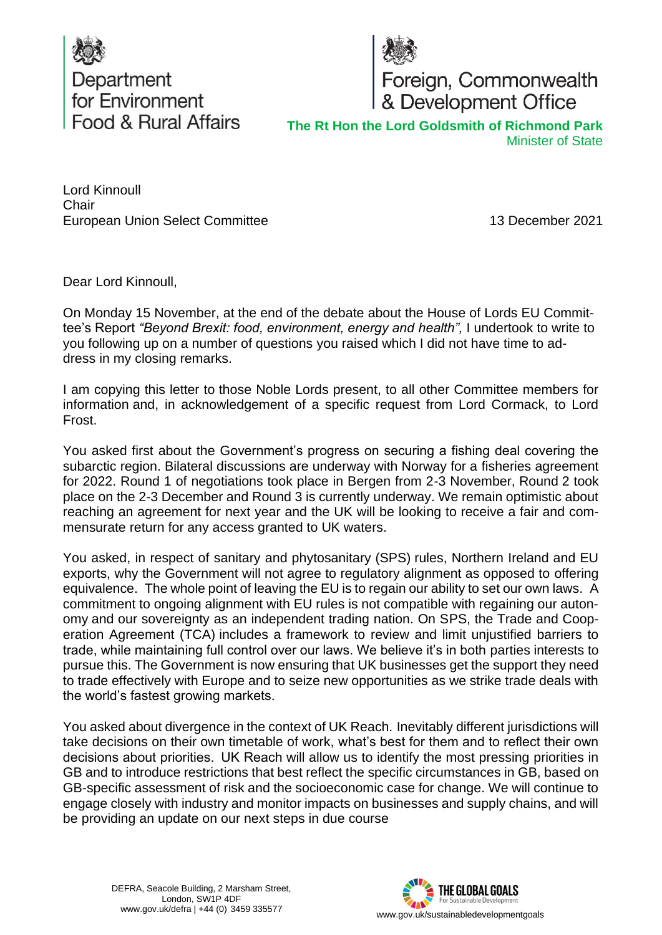



Foreign, Commonwealth<br>& Development Office

**The Rt Hon the Lord Goldsmith of Richmond Park** Minister of State

Lord Kinnoull Chair European Union Select Committee

13 December 2021

Dear Lord Kinnoull,

On Monday 15 November, at the end of the debate about the House of Lords EU Committee's Report *"Beyond Brexit: food, environment, energy and health",* I undertook to write to you following up on a number of questions you raised which I did not have time to address in my closing remarks.

I am copying this letter to those Noble Lords present, to all other Committee members for information and, in acknowledgement of a specific request from Lord Cormack, to Lord Frost.

You asked first about the Government's progress on securing a fishing deal covering the subarctic region. Bilateral discussions are underway with Norway for a fisheries agreement for 2022. Round 1 of negotiations took place in Bergen from 2-3 November, Round 2 took place on the 2-3 December and Round 3 is currently underway. We remain optimistic about reaching an agreement for next year and the UK will be looking to receive a fair and commensurate return for any access granted to UK waters.

You asked, in respect of sanitary and phytosanitary (SPS) rules, Northern Ireland and EU exports, why the Government will not agree to regulatory alignment as opposed to offering equivalence. The whole point of leaving the EU is to regain our ability to set our own laws. A commitment to ongoing alignment with EU rules is not compatible with regaining our autonomy and our sovereignty as an independent trading nation. On SPS, the Trade and Cooperation Agreement (TCA) includes a framework to review and limit unjustified barriers to trade, while maintaining full control over our laws. We believe it's in both parties interests to pursue this. The Government is now ensuring that UK businesses get the support they need to trade effectively with Europe and to seize new opportunities as we strike trade deals with the world's fastest growing markets.

You asked about divergence in the context of UK Reach. Inevitably different jurisdictions will take decisions on their own timetable of work, what's best for them and to reflect their own decisions about priorities.  UK Reach will allow us to identify the most pressing priorities in GB and to introduce restrictions that best reflect the specific circumstances in GB, based on GB-specific assessment of risk and the socioeconomic case for change. We will continue to engage closely with industry and monitor impacts on businesses and supply chains, and will be providing an update on our next steps in due course

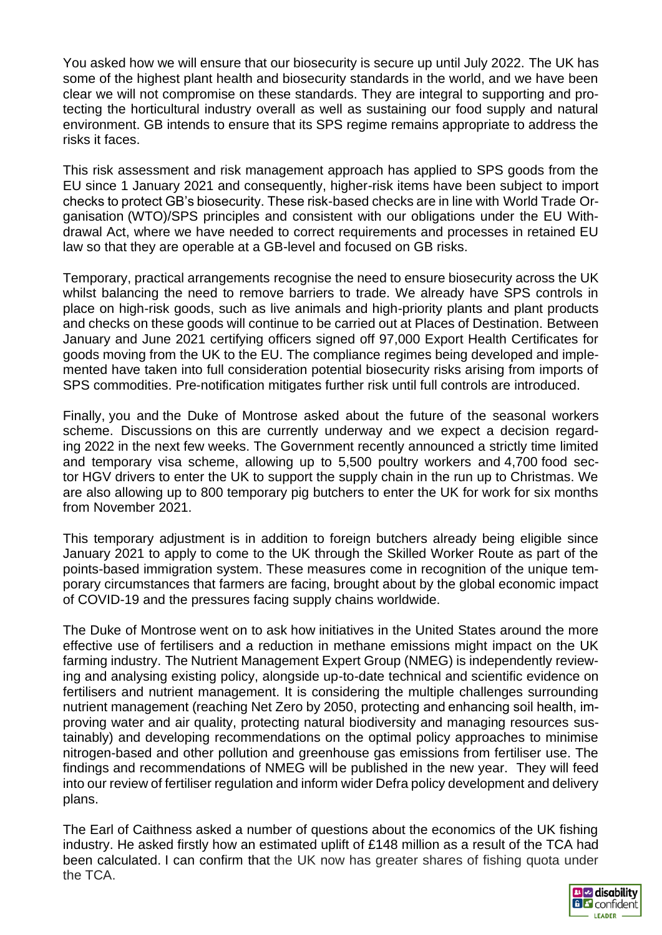You asked how we will ensure that our biosecurity is secure up until July 2022. The UK has some of the highest plant health and biosecurity standards in the world, and we have been clear we will not compromise on these standards. They are integral to supporting and protecting the horticultural industry overall as well as sustaining our food supply and natural environment. GB intends to ensure that its SPS regime remains appropriate to address the risks it faces.

This risk assessment and risk management approach has applied to SPS goods from the EU since 1 January 2021 and consequently, higher-risk items have been subject to import checks to protect GB's biosecurity. These risk-based checks are in line with World Trade Organisation (WTO)/SPS principles and consistent with our obligations under the EU Withdrawal Act, where we have needed to correct requirements and processes in retained EU law so that they are operable at a GB-level and focused on GB risks.

Temporary, practical arrangements recognise the need to ensure biosecurity across the UK whilst balancing the need to remove barriers to trade. We already have SPS controls in place on high-risk goods, such as live animals and high-priority plants and plant products and checks on these goods will continue to be carried out at Places of Destination. Between January and June 2021 certifying officers signed off 97,000 Export Health Certificates for goods moving from the UK to the EU. The compliance regimes being developed and implemented have taken into full consideration potential biosecurity risks arising from imports of SPS commodities. Pre-notification mitigates further risk until full controls are introduced.

Finally, you and the Duke of Montrose asked about the future of the seasonal workers scheme. Discussions on this are currently underway and we expect a decision regarding 2022 in the next few weeks. The Government recently announced a strictly time limited and temporary visa scheme, allowing up to 5,500 poultry workers and 4,700 food sector HGV drivers to enter the UK to support the supply chain in the run up to Christmas. We are also allowing up to 800 temporary pig butchers to enter the UK for work for six months from November 2021.

This temporary adjustment is in addition to foreign butchers already being eligible since January 2021 to apply to come to the UK through the Skilled Worker Route as part of the points-based immigration system. These measures come in recognition of the unique temporary circumstances that farmers are facing, brought about by the global economic impact of COVID-19 and the pressures facing supply chains worldwide.

The Duke of Montrose went on to ask how initiatives in the United States around the more effective use of fertilisers and a reduction in methane emissions might impact on the UK farming industry. The Nutrient Management Expert Group (NMEG) is independently reviewing and analysing existing policy, alongside up-to-date technical and scientific evidence on fertilisers and nutrient management. It is considering the multiple challenges surrounding nutrient management (reaching Net Zero by 2050, protecting and enhancing soil health, improving water and air quality, protecting natural biodiversity and managing resources sustainably) and developing recommendations on the optimal policy approaches to minimise nitrogen-based and other pollution and greenhouse gas emissions from fertiliser use. The findings and recommendations of NMEG will be published in the new year. They will feed into our review of fertiliser regulation and inform wider Defra policy development and delivery plans.

The Earl of Caithness asked a number of questions about the economics of the UK fishing industry. He asked firstly how an estimated uplift of £148 million as a result of the TCA had been calculated. I can confirm that the UK now has greater shares of fishing quota under the TCA.

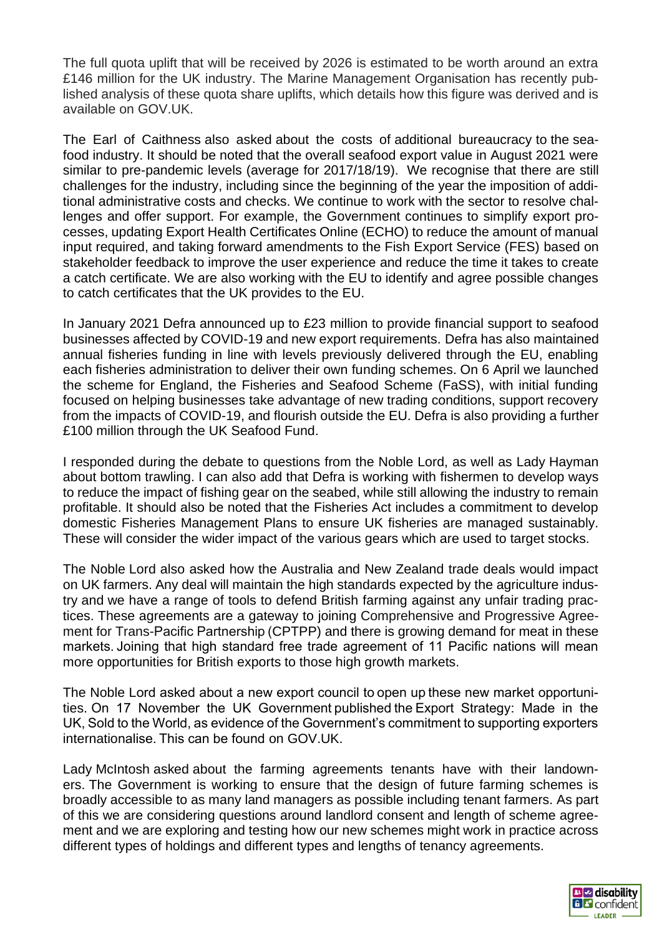The full quota uplift that will be received by 2026 is estimated to be worth around an extra £146 million for the UK industry. The Marine Management Organisation has recently published analysis of these quota share uplifts, which details how this figure was derived and is available on GOV.UK.

The Earl of Caithness also asked about the costs of additional bureaucracy to the seafood industry. It should be noted that the overall seafood export value in August 2021 were similar to pre-pandemic levels (average for 2017/18/19). We recognise that there are still challenges for the industry, including since the beginning of the year the imposition of additional administrative costs and checks. We continue to work with the sector to resolve challenges and offer support. For example, the Government continues to simplify export processes, updating Export Health Certificates Online (ECHO) to reduce the amount of manual input required, and taking forward amendments to the Fish Export Service (FES) based on stakeholder feedback to improve the user experience and reduce the time it takes to create a catch certificate. We are also working with the EU to identify and agree possible changes to catch certificates that the UK provides to the EU.

In January 2021 Defra announced up to £23 million to provide financial support to seafood businesses affected by COVID-19 and new export requirements. Defra has also maintained annual fisheries funding in line with levels previously delivered through the EU, enabling each fisheries administration to deliver their own funding schemes. On 6 April we launched the scheme for England, the Fisheries and Seafood Scheme (FaSS), with initial funding focused on helping businesses take advantage of new trading conditions, support recovery from the impacts of COVID-19, and flourish outside the EU. Defra is also providing a further £100 million through the UK Seafood Fund.

I responded during the debate to questions from the Noble Lord, as well as Lady Hayman about bottom trawling. I can also add that Defra is working with fishermen to develop ways to reduce the impact of fishing gear on the seabed, while still allowing the industry to remain profitable. It should also be noted that the Fisheries Act includes a commitment to develop domestic Fisheries Management Plans to ensure UK fisheries are managed sustainably. These will consider the wider impact of the various gears which are used to target stocks.

The Noble Lord also asked how the Australia and New Zealand trade deals would impact on UK farmers. Any deal will maintain the high standards expected by the agriculture industry and we have a range of tools to defend British farming against any unfair trading practices. These agreements are a gateway to joining Comprehensive and Progressive Agreement for Trans-Pacific Partnership (CPTPP) and there is growing demand for meat in these markets. Joining that high standard free trade agreement of 11 Pacific nations will mean more opportunities for British exports to those high growth markets.

The Noble Lord asked about a new export council to open up these new market opportunities. On 17 November the UK Government published the Export Strategy: Made in the UK, Sold to the World, as evidence of the Government's commitment to supporting exporters internationalise. This can be found on GOV.UK.

Lady McIntosh asked about the farming agreements tenants have with their landowners. The Government is working to ensure that the design of future farming schemes is broadly accessible to as many land managers as possible including tenant farmers. As part of this we are considering questions around landlord consent and length of scheme agreement and we are exploring and testing how our new schemes might work in practice across different types of holdings and different types and lengths of tenancy agreements.

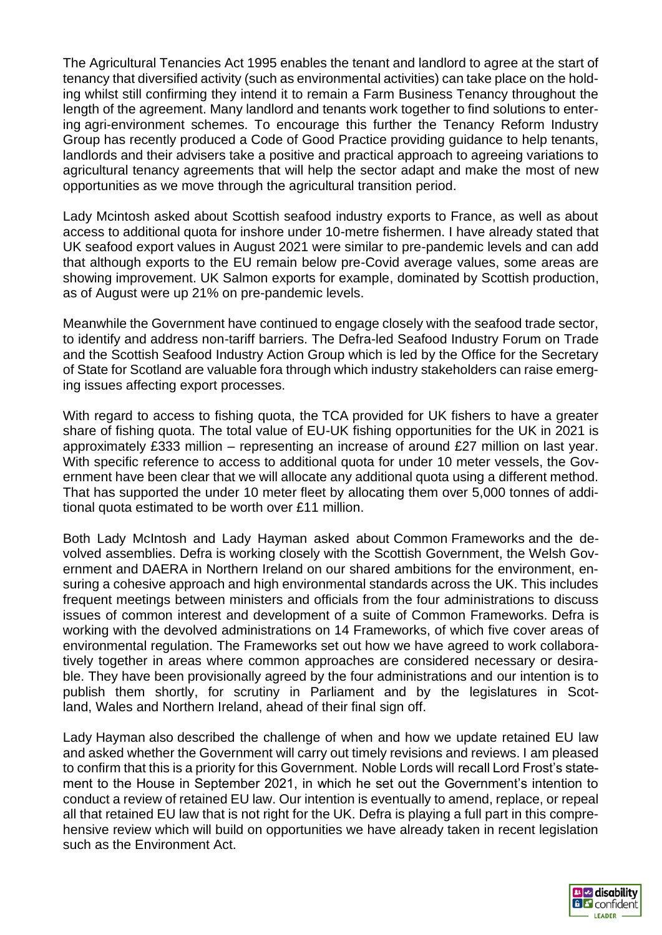The Agricultural Tenancies Act 1995 enables the tenant and landlord to agree at the start of tenancy that diversified activity (such as environmental activities) can take place on the holding whilst still confirming they intend it to remain a Farm Business Tenancy throughout the length of the agreement. Many landlord and tenants work together to find solutions to entering agri-environment schemes. To encourage this further the Tenancy Reform Industry Group has recently produced a Code of Good Practice providing guidance to help tenants, landlords and their advisers take a positive and practical approach to agreeing variations to agricultural tenancy agreements that will help the sector adapt and make the most of new opportunities as we move through the agricultural transition period.

Lady Mcintosh asked about Scottish seafood industry exports to France, as well as about access to additional quota for inshore under 10-metre fishermen. I have already stated that UK seafood export values in August 2021 were similar to pre-pandemic levels and can add that although exports to the EU remain below pre-Covid average values, some areas are showing improvement. UK Salmon exports for example, dominated by Scottish production, as of August were up 21% on pre-pandemic levels.

Meanwhile the Government have continued to engage closely with the seafood trade sector, to identify and address non-tariff barriers. The Defra-led Seafood Industry Forum on Trade and the Scottish Seafood Industry Action Group which is led by the Office for the Secretary of State for Scotland are valuable fora through which industry stakeholders can raise emerging issues affecting export processes.

With regard to access to fishing quota, the TCA provided for UK fishers to have a greater share of fishing quota. The total value of EU-UK fishing opportunities for the UK in 2021 is approximately £333 million – representing an increase of around £27 million on last year. With specific reference to access to additional quota for under 10 meter vessels, the Government have been clear that we will allocate any additional quota using a different method. That has supported the under 10 meter fleet by allocating them over 5,000 tonnes of additional quota estimated to be worth over £11 million.

Both Lady McIntosh and Lady Hayman asked about Common Frameworks and the devolved assemblies. Defra is working closely with the Scottish Government, the Welsh Government and DAERA in Northern Ireland on our shared ambitions for the environment, ensuring a cohesive approach and high environmental standards across the UK. This includes frequent meetings between ministers and officials from the four administrations to discuss issues of common interest and development of a suite of Common Frameworks. Defra is working with the devolved administrations on 14 Frameworks, of which five cover areas of environmental regulation. The Frameworks set out how we have agreed to work collaboratively together in areas where common approaches are considered necessary or desirable. They have been provisionally agreed by the four administrations and our intention is to publish them shortly, for scrutiny in Parliament and by the legislatures in Scotland, Wales and Northern Ireland, ahead of their final sign off.

Lady Hayman also described the challenge of when and how we update retained EU law and asked whether the Government will carry out timely revisions and reviews. I am pleased to confirm that this is a priority for this Government. Noble Lords will recall Lord Frost's statement to the House in September 2021, in which he set out the Government's intention to conduct a review of retained EU law. Our intention is eventually to amend, replace, or repeal all that retained EU law that is not right for the UK. Defra is playing a full part in this comprehensive review which will build on opportunities we have already taken in recent legislation such as the Environment Act.